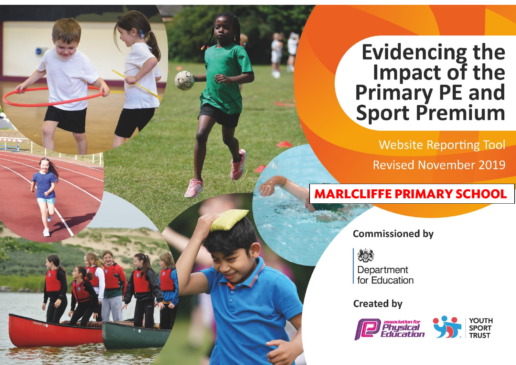## **Evidencing the<br>Impact of the<br>Primary PE and<br>Sport Premium**

**Website Reporting Tool** 

**Revised November 2019** 

## **MARLCLIFFE PRIMARY SCHOOL**

**Commissioned by** 

炒 Department for Education

**Created by** 

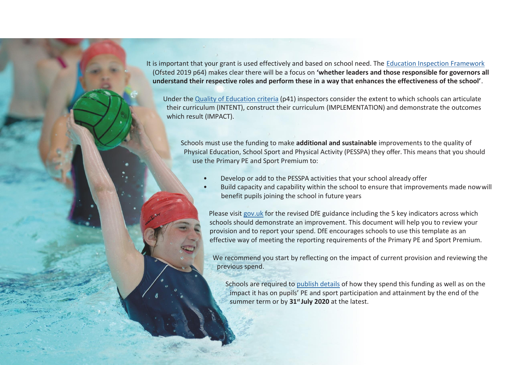It is important that your grant is used effectively and based on school need. The [Education Inspection Framework](https://assets.publishing.service.gov.uk/government/uploads/system/uploads/attachment_data/file/843108/School_inspection_handbook_-_section_5.pdf) (Ofsted 2019 p64) makes clear there will be a focus on **'whether leaders and those responsible for governors all understand their respective roles and perform these in a way that enhances the effectiveness of the school'**.

Under the Quality of [Education](https://assets.publishing.service.gov.uk/government/uploads/system/uploads/attachment_data/file/843108/School_inspection_handbook_-_section_5.pdf) criteria (p41) inspectors consider the extent to which schools can articulate their curriculum (INTENT), construct their curriculum (IMPLEMENTATION) and demonstrate the outcomes which result (IMPACT).

Schools must use the funding to make **additional and sustainable** improvements to the quality of Physical Education, School Sport and Physical Activity (PESSPA) they offer. This means that you should use the Primary PE and Sport Premium to:

- Develop or add to the PESSPA activities that your school already offer
- Build capacity and capability within the school to ensure that improvements made nowwill benefit pupils joining the school in future years

Please visit [gov.uk](https://www.gov.uk/guidance/pe-and-sport-premium-for-primary-schools) for the revised DfE guidance including the 5 key indicators across which schools should demonstrate an improvement. This document will help you to review your provision and to report your spend. DfE encourages schools to use this template as an effective way of meeting the reporting requirements of the Primary PE and Sport Premium.

We recommend you start by reflecting on the impact of current provision and reviewing the previous spend.

Schools are required to [publish details](https://www.gov.uk/guidance/what-maintained-schools-must-publish-online#pe-and-sport-premium-for-primary-schools) of how they spend this funding as well as on the impact it has on pupils' PE and sport participation and attainment by the end of the summer term or by **31st July 2020** at the latest.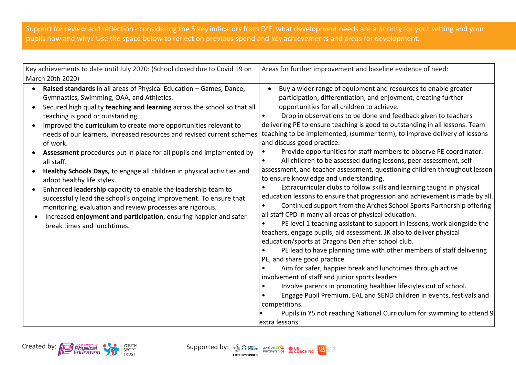## Support for review and reflection - considering the 5 key indicators from DfE, what development needs are a priority for your setting and your pupils now and why? Use the space below to reflect on previous spend and key achievements and areas for development.

| Key achievements to date until July 2020: (School closed due to Covid 19 on<br>March 20th 2020)                                                                                                                                                                                                                                                                                                                                                                                                                                                                                                                                                                                                                                                                                                                                                                                                                | Areas for further improvement and baseline evidence of need:                                                                                                                                                                                                                                                                                                                                                                                                                                                                                                                                                                                                                                                                                                                                                                                                                                                                                                                                                                                                                                                                                                                                                                                                                                                                                                                                                                                                                                                                                                                                                                                                                                                        |
|----------------------------------------------------------------------------------------------------------------------------------------------------------------------------------------------------------------------------------------------------------------------------------------------------------------------------------------------------------------------------------------------------------------------------------------------------------------------------------------------------------------------------------------------------------------------------------------------------------------------------------------------------------------------------------------------------------------------------------------------------------------------------------------------------------------------------------------------------------------------------------------------------------------|---------------------------------------------------------------------------------------------------------------------------------------------------------------------------------------------------------------------------------------------------------------------------------------------------------------------------------------------------------------------------------------------------------------------------------------------------------------------------------------------------------------------------------------------------------------------------------------------------------------------------------------------------------------------------------------------------------------------------------------------------------------------------------------------------------------------------------------------------------------------------------------------------------------------------------------------------------------------------------------------------------------------------------------------------------------------------------------------------------------------------------------------------------------------------------------------------------------------------------------------------------------------------------------------------------------------------------------------------------------------------------------------------------------------------------------------------------------------------------------------------------------------------------------------------------------------------------------------------------------------------------------------------------------------------------------------------------------------|
| Raised standards in all areas of Physical Education - Games, Dance,<br>$\bullet$<br>Gymnastics, Swimming, OAA, and Athletics.<br>Secured high quality teaching and learning across the school so that all<br>teaching is good or outstanding.<br>Improved the curriculum to create more opportunities relevant to<br>needs of our learners, increased resources and revised current schemes<br>of work.<br>Assessment procedures put in place for all pupils and implemented by<br>all staff.<br>Healthy Schools Days, to engage all children in physical activities and<br>adopt healthy life styles.<br>Enhanced leadership capacity to enable the leadership team to<br>successfully lead the school's ongoing improvement. To ensure that<br>monitoring, evaluation and review processes are rigorous.<br>Increased enjoyment and participation, ensuring happier and safer<br>break times and lunchtimes. | Buy a wider range of equipment and resources to enable greater<br>participation, differentiation, and enjoyment, creating further<br>opportunities for all children to achieve.<br>Drop in observations to be done and feedback given to teachers<br>$\bullet$<br>delivering PE to ensure teaching is good to outstanding in all lessons. Team<br>teaching to be implemented, (summer term), to improve delivery of lessons<br>and discuss good practice.<br>Provide opportunities for staff members to observe PE coordinator.<br>All children to be assessed during lessons, peer assessment, self-<br>assessment, and teacher assessment, questioning children throughout lesson<br>to ensure knowledge and understanding.<br>Extracurricular clubs to follow skills and learning taught in physical<br>education lessons to ensure that progression and achievement is made by all.<br>Continued support from the Arches School Sports Partnership offering<br>all staff CPD in many all areas of physical education.<br>PE level 1 teaching assistant to support in lessons, work alongside the<br>teachers, engage pupils, aid assessment. JK also to deliver physical<br>education/sports at Dragons Den after school club.<br>PE lead to have planning time with other members of staff delivering<br>PE, and share good practice.<br>Aim for safer, happier break and lunchtimes through active<br>involvement of staff and junior sports leaders<br>Involve parents in promoting healthier lifestyles out of school.<br>Engage Pupil Premium. EAL and SEND children in events, festivals and<br>competitions.<br>Pupils in Y5 not reaching National Curriculum for swimming to attend 9<br>extra lessons. |



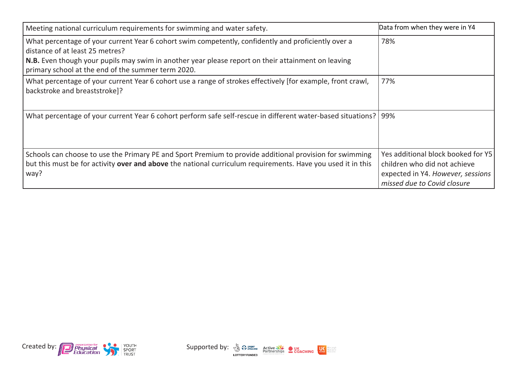| Meeting national curriculum requirements for swimming and water safety.                                                                                                                                                                                                                            | Data from when they were in Y4                                                                                                         |
|----------------------------------------------------------------------------------------------------------------------------------------------------------------------------------------------------------------------------------------------------------------------------------------------------|----------------------------------------------------------------------------------------------------------------------------------------|
| What percentage of your current Year 6 cohort swim competently, confidently and proficiently over a<br>distance of at least 25 metres?<br>N.B. Even though your pupils may swim in another year please report on their attainment on leaving<br>primary school at the end of the summer term 2020. | 78%                                                                                                                                    |
| What percentage of your current Year 6 cohort use a range of strokes effectively [for example, front crawl,<br>backstroke and breaststroke]?                                                                                                                                                       | 77%                                                                                                                                    |
| What percentage of your current Year 6 cohort perform safe self-rescue in different water-based situations?   99%                                                                                                                                                                                  |                                                                                                                                        |
| Schools can choose to use the Primary PE and Sport Premium to provide additional provision for swimming<br>but this must be for activity over and above the national curriculum requirements. Have you used it in this<br>way?                                                                     | Yes additional block booked for Y5<br>children who did not achieve<br>expected in Y4. However, sessions<br>missed due to Covid closure |



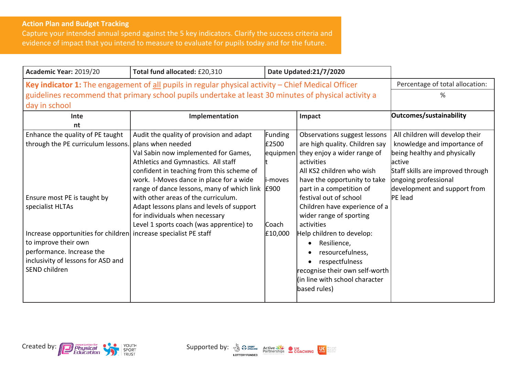## **Action Plan and Budget Tracking**

Capture your intended annual spend against the 5 key indicators. Clarify the success criteria and evidence of impact that you intend to measure to evaluate for pupils today and for the future.

| Academic Year: 2019/20                                                                                      | Total fund allocated: £20,310                                                                        |          | Date Updated:21/7/2020         |                                   |
|-------------------------------------------------------------------------------------------------------------|------------------------------------------------------------------------------------------------------|----------|--------------------------------|-----------------------------------|
| <b>Key indicator 1:</b> The engagement of all pupils in regular physical activity $-$ Chief Medical Officer |                                                                                                      |          |                                | Percentage of total allocation:   |
|                                                                                                             | guidelines recommend that primary school pupils undertake at least 30 minutes of physical activity a |          |                                | ℅                                 |
| day in school                                                                                               |                                                                                                      |          |                                |                                   |
| Inte                                                                                                        | Implementation                                                                                       |          | Impact                         | Outcomes/sustainability           |
| nt                                                                                                          |                                                                                                      |          |                                |                                   |
| Enhance the quality of PE taught                                                                            | Audit the quality of provision and adapt                                                             | Funding  | Observations suggest lessons   | All children will develop their   |
| through the PE curriculum lessons.                                                                          | plans when needed                                                                                    | £2500    | are high quality. Children say | knowledge and importance of       |
|                                                                                                             | Val Sabin now implemented for Games,                                                                 | equipmen | they enjoy a wider range of    | being healthy and physically      |
|                                                                                                             | Athletics and Gymnastics. All staff                                                                  |          | activities                     | lactive                           |
|                                                                                                             | confident in teaching from this scheme of                                                            |          | All KS2 children who wish      | Staff skills are improved through |
|                                                                                                             | work. I-Moves dance in place for a wide                                                              | i-moves  | have the opportunity to take   | ongoing professional              |
|                                                                                                             | range of dance lessons, many of which link E900                                                      |          | part in a competition of       | development and support from      |
| Ensure most PE is taught by                                                                                 | with other areas of the curriculum.                                                                  |          | festival out of school         | PE lead                           |
| specialist HLTAs                                                                                            | Adapt lessons plans and levels of support                                                            |          | Children have experience of a  |                                   |
|                                                                                                             | for individuals when necessary                                                                       |          | wider range of sporting        |                                   |
|                                                                                                             | Level 1 sports coach (was apprentice) to                                                             | Coach    | activities                     |                                   |
| Increase opportunities for children increase specialist PE staff                                            |                                                                                                      | £10,000  | Help children to develop:      |                                   |
| to improve their own                                                                                        |                                                                                                      |          | Resilience,                    |                                   |
| performance. Increase the                                                                                   |                                                                                                      |          | resourcefulness,               |                                   |
| inclusivity of lessons for ASD and                                                                          |                                                                                                      |          | respectfulness                 |                                   |
| SEND children                                                                                               |                                                                                                      |          | recognise their own self-worth |                                   |
|                                                                                                             |                                                                                                      |          | (in line with school character |                                   |
|                                                                                                             |                                                                                                      |          | based rules)                   |                                   |
|                                                                                                             |                                                                                                      |          |                                |                                   |



 $\left| \bigcup_{\text{active}} \right|$ mepeople<br>meactive<br>meaften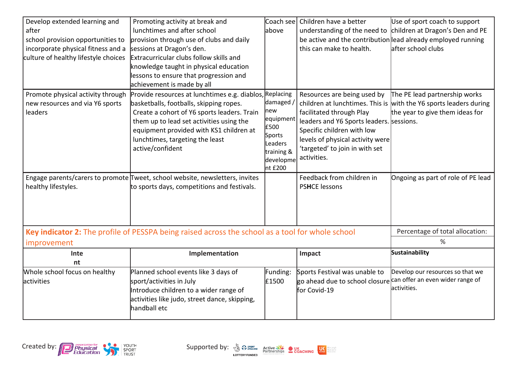| Develop extended learning and<br>after<br>school provision opportunities to<br>incorporate physical fitness and a<br>culture of healthy lifestyle choices | Promoting activity at break and<br>lunchtimes and after school<br>provision through use of clubs and daily<br>sessions at Dragon's den.<br>Extracurricular clubs follow skills and<br>knowledge taught in physical education<br>lessons to ensure that progression and<br>achievement is made by all | Coach see<br>above                                                                                            | Children have a better<br>understanding of the need to<br>this can make to health.                                                                                                                                     | Use of sport coach to support<br>children at Dragon's Den and PE<br>be active and the contribution lead already employed running<br>after school clubs |
|-----------------------------------------------------------------------------------------------------------------------------------------------------------|------------------------------------------------------------------------------------------------------------------------------------------------------------------------------------------------------------------------------------------------------------------------------------------------------|---------------------------------------------------------------------------------------------------------------|------------------------------------------------------------------------------------------------------------------------------------------------------------------------------------------------------------------------|--------------------------------------------------------------------------------------------------------------------------------------------------------|
| Promote physical activity through<br>new resources and via Y6 sports<br>leaders                                                                           | Provide resources at lunchtimes e.g. diablos,<br>basketballs, footballs, skipping ropes.<br>Create a cohort of Y6 sports leaders. Train<br>them up to lead set activities using the<br>equipment provided with KS1 children at<br>lunchtimes, targeting the least<br>active/confident                | Replacing<br>damaged /<br>new<br>equipment<br>£500<br>Sports<br>Leaders<br>training &<br>developme<br>nt £200 | Resources are being used by<br>facilitated through Play<br>leaders and Y6 Sports leaders. sessions.<br>Specific children with low<br>levels of physical activity were<br>'targeted' to join in with set<br>activities. | The PE lead partnership works<br>children at lunchtimes. This is with the Y6 sports leaders during<br>the year to give them ideas for                  |
| healthy lifestyles.                                                                                                                                       | Engage parents/carers to promote Tweet, school website, newsletters, invites<br>to sports days, competitions and festivals.                                                                                                                                                                          |                                                                                                               | Feedback from children in<br><b>PSHCE lessons</b>                                                                                                                                                                      | Ongoing as part of role of PE lead                                                                                                                     |
| Key indicator 2: The profile of PESSPA being raised across the school as a tool for whole school<br>improvement                                           |                                                                                                                                                                                                                                                                                                      |                                                                                                               |                                                                                                                                                                                                                        | Percentage of total allocation:<br>%                                                                                                                   |
| Inte<br>nt                                                                                                                                                | Implementation                                                                                                                                                                                                                                                                                       |                                                                                                               | Impact                                                                                                                                                                                                                 | <b>Sustainability</b>                                                                                                                                  |
| Whole school focus on healthy<br>activities                                                                                                               | Planned school events like 3 days of<br>sport/activities in July<br>Introduce children to a wider range of<br>activities like judo, street dance, skipping,<br>handball etc                                                                                                                          | Funding:<br>£1500                                                                                             | Sports Festival was unable to<br>go ahead due to school closure can offer an even wider range of<br>for Covid-19                                                                                                       | Develop our resources so that we<br>activities.                                                                                                        |



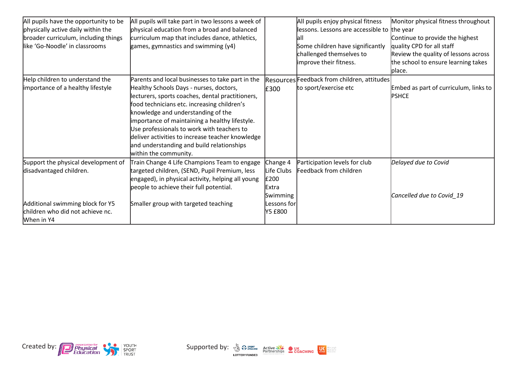| All pupils have the opportunity to be          | All pupils will take part in two lessons a week of |               | All pupils enjoy physical fitness           | Monitor physical fitness throughout   |
|------------------------------------------------|----------------------------------------------------|---------------|---------------------------------------------|---------------------------------------|
| physically active daily within the             | physical education from a broad and balanced       |               | lessons. Lessons are accessible to the year |                                       |
| broader curriculum, including things           | curriculum map that includes dance, athletics,     |               | lall                                        | Continue to provide the highest       |
| like 'Go-Noodle' in classrooms                 | games, gymnastics and swimming (y4)                |               | Some children have significantly            | quality CPD for all staff             |
|                                                |                                                    |               | challenged themselves to                    | Review the quality of lessons across  |
|                                                |                                                    |               | improve their fitness.                      | the school to ensure learning takes   |
|                                                |                                                    |               |                                             | blace.                                |
| Help children to understand the                | Parents and local businesses to take part in the   |               | Resources Feedback from children, attitudes |                                       |
| importance of a healthy lifestyle              | Healthy Schools Days - nurses, doctors,            | £300          | to sport/exercise etc                       | Embed as part of curriculum, links to |
|                                                | lecturers, sports coaches, dental practitioners,   |               |                                             | <b>PSHCE</b>                          |
|                                                | food technicians etc. increasing children's        |               |                                             |                                       |
|                                                | knowledge and understanding of the                 |               |                                             |                                       |
|                                                | importance of maintaining a healthy lifestyle.     |               |                                             |                                       |
|                                                | Use professionals to work with teachers to         |               |                                             |                                       |
|                                                | deliver activities to increase teacher knowledge   |               |                                             |                                       |
|                                                | and understanding and build relationships          |               |                                             |                                       |
|                                                | within the community.                              |               |                                             |                                       |
| Support the physical development of            | Train Change 4 Life Champions Team to engage       | Change 4      | Participation levels for club               | Delayed due to Covid                  |
| disadvantaged children.                        | targeted children, (SEND, Pupil Premium, less      | Life Clubs    | Feedback from children                      |                                       |
|                                                | engaged), in physical activity, helping all young  | £200          |                                             |                                       |
|                                                | people to achieve their full potential.            | <b>IExtra</b> |                                             |                                       |
|                                                |                                                    | Swimming      |                                             | Cancelled due to Covid 19             |
| Additional swimming block for Y5               | Smaller group with targeted teaching               | Lessons forl  |                                             |                                       |
| children who did not achieve nc.<br>When in Y4 |                                                    | Y5 £800       |                                             |                                       |



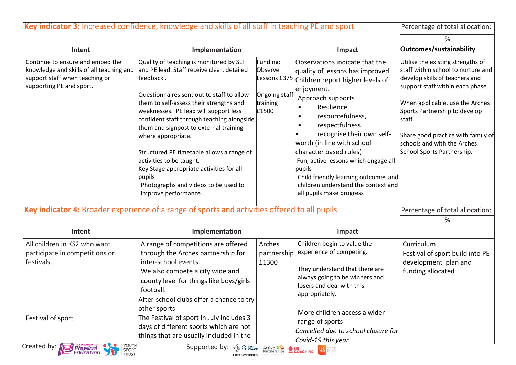|                                                                                                                                            | Key indicator 3: Increased confidence, knowledge and skills of all staff in teaching PE and sport                                                                                                                                                                                                                                                                                                                                                                                                                                                |                                                           |                                                                                                                                                                                                                                                                                                                                                                                                                                                                           | Percentage of total allocation:                                                                                                                                                                                                                                                                                                |
|--------------------------------------------------------------------------------------------------------------------------------------------|--------------------------------------------------------------------------------------------------------------------------------------------------------------------------------------------------------------------------------------------------------------------------------------------------------------------------------------------------------------------------------------------------------------------------------------------------------------------------------------------------------------------------------------------------|-----------------------------------------------------------|---------------------------------------------------------------------------------------------------------------------------------------------------------------------------------------------------------------------------------------------------------------------------------------------------------------------------------------------------------------------------------------------------------------------------------------------------------------------------|--------------------------------------------------------------------------------------------------------------------------------------------------------------------------------------------------------------------------------------------------------------------------------------------------------------------------------|
|                                                                                                                                            |                                                                                                                                                                                                                                                                                                                                                                                                                                                                                                                                                  |                                                           |                                                                                                                                                                                                                                                                                                                                                                                                                                                                           | %                                                                                                                                                                                                                                                                                                                              |
| Intent                                                                                                                                     | Implementation                                                                                                                                                                                                                                                                                                                                                                                                                                                                                                                                   |                                                           | Impact                                                                                                                                                                                                                                                                                                                                                                                                                                                                    | Outcomes/sustainability                                                                                                                                                                                                                                                                                                        |
| Continue to ensure and embed the<br>knowledge and skills of all teaching and<br>support staff when teaching or<br>supporting PE and sport. | Quality of teaching is monitored by SLT<br>and PE lead. Staff receive clear, detailed<br>feedback.<br>Questionnaires sent out to staff to allow<br>them to self-assess their strengths and<br>weaknesses. PE lead will support less<br>confident staff through teaching alongside<br>them and signpost to external training<br>where appropriate.<br>Structured PE timetable allows a range of<br>activities to be taught.<br>Key Stage appropriate activities for all<br>pupils<br>Photographs and videos to be used to<br>improve performance. | Funding:<br>Observe<br>Ongoing staff<br>training<br>£1500 | Observations indicate that the<br>quality of lessons has improved.<br>essons £375 Children report higher levels of<br>enjoyment.<br>Approach supports<br>Resilience,<br>resourcefulness,<br>$\bullet$<br>respectfulness<br>recognise their own self-<br>worth (in line with school<br>character based rules)<br>Fun, active lessons which engage all<br>pupils<br>Child friendly learning outcomes and<br>children understand the context and<br>all pupils make progress | Utilise the existing strengths of<br>staff within school to nurture and<br>develop skills of teachers and<br>support staff within each phase.<br>When applicable, use the Arches<br>Sports Partnership to develop<br>staff.<br>Share good practice with family of<br>schools and with the Arches<br>School Sports Partnership. |
|                                                                                                                                            | Key indicator 4: Broader experience of a range of sports and activities offered to all pupils                                                                                                                                                                                                                                                                                                                                                                                                                                                    |                                                           |                                                                                                                                                                                                                                                                                                                                                                                                                                                                           | Percentage of total allocation:<br>%                                                                                                                                                                                                                                                                                           |
| Intent                                                                                                                                     | Implementation                                                                                                                                                                                                                                                                                                                                                                                                                                                                                                                                   |                                                           | Impact                                                                                                                                                                                                                                                                                                                                                                                                                                                                    |                                                                                                                                                                                                                                                                                                                                |
| All children in KS2 who want                                                                                                               | A range of competitions are offered                                                                                                                                                                                                                                                                                                                                                                                                                                                                                                              | Arches                                                    | Children begin to value the                                                                                                                                                                                                                                                                                                                                                                                                                                               | Curriculum                                                                                                                                                                                                                                                                                                                     |
| participate in competitions or<br>festivals.                                                                                               | through the Arches partnership for<br>inter-school events.<br>We also compete a city wide and<br>county level for things like boys/girls<br>football.<br>After-school clubs offer a chance to try                                                                                                                                                                                                                                                                                                                                                | partnership<br>£1300                                      | experience of competing.<br>They understand that there are<br>always going to be winners and<br>losers and deal with this<br>appropriately.                                                                                                                                                                                                                                                                                                                               | Festival of sport build into PE<br>development plan and<br>funding allocated                                                                                                                                                                                                                                                   |
| Festival of sport<br>Created by:<br>YOUTH<br><b>Physical</b><br>Education<br>SPORT<br>TRUST                                                | other sports<br>The Festival of sport in July includes 3<br>days of different sports which are not<br>things that are usually included in the<br>Supported by: $\sqrt{\xi_0}$ $\Omega$ argum                                                                                                                                                                                                                                                                                                                                                     | Active<br>Partnerships                                    | More children access a wider<br>range of sports<br>Cancelled due to school closure for<br>Covid-19 this year<br>COACHING <b>WARRANTS</b>                                                                                                                                                                                                                                                                                                                                  |                                                                                                                                                                                                                                                                                                                                |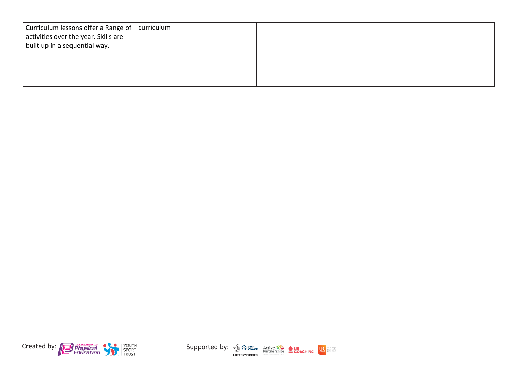| Curriculum lessons offer a Range of<br>activities over the year. Skills are<br>built up in a sequential way. | curriculum |  |  |
|--------------------------------------------------------------------------------------------------------------|------------|--|--|
|                                                                                                              |            |  |  |